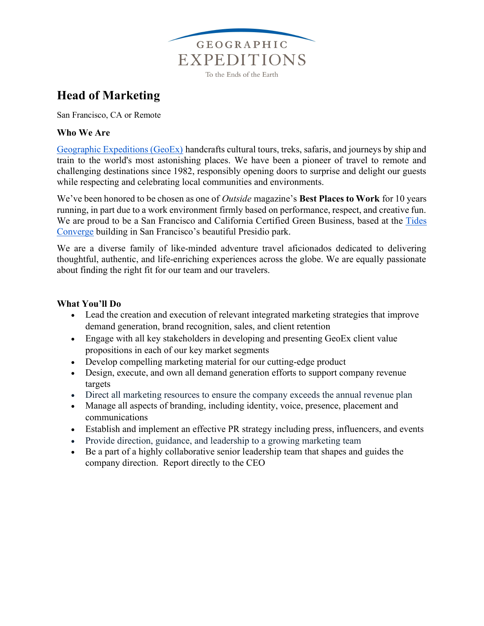

# Head of Marketing

San Francisco, CA or Remote

### Who We Are

Geographic Expeditions (GeoEx) handcrafts cultural tours, treks, safaris, and journeys by ship and train to the world's most astonishing places. We have been a pioneer of travel to remote and challenging destinations since 1982, responsibly opening doors to surprise and delight our guests while respecting and celebrating local communities and environments.

We've been honored to be chosen as one of *Outside* magazine's **Best Places to Work** for 10 years running, in part due to a work environment firmly based on performance, respect, and creative fun. We are proud to be a San Francisco and California Certified Green Business, based at the Tides Converge building in San Francisco's beautiful Presidio park.

We are a diverse family of like-minded adventure travel aficionados dedicated to delivering thoughtful, authentic, and life-enriching experiences across the globe. We are equally passionate about finding the right fit for our team and our travelers.

#### What You'll Do

- Lead the creation and execution of relevant integrated marketing strategies that improve demand generation, brand recognition, sales, and client retention
- Engage with all key stakeholders in developing and presenting GeoEx client value propositions in each of our key market segments
- Develop compelling marketing material for our cutting-edge product
- Design, execute, and own all demand generation efforts to support company revenue targets
- Direct all marketing resources to ensure the company exceeds the annual revenue plan
- Manage all aspects of branding, including identity, voice, presence, placement and communications
- Establish and implement an effective PR strategy including press, influencers, and events
- Provide direction, guidance, and leadership to a growing marketing team
- Be a part of a highly collaborative senior leadership team that shapes and guides the company direction. Report directly to the CEO